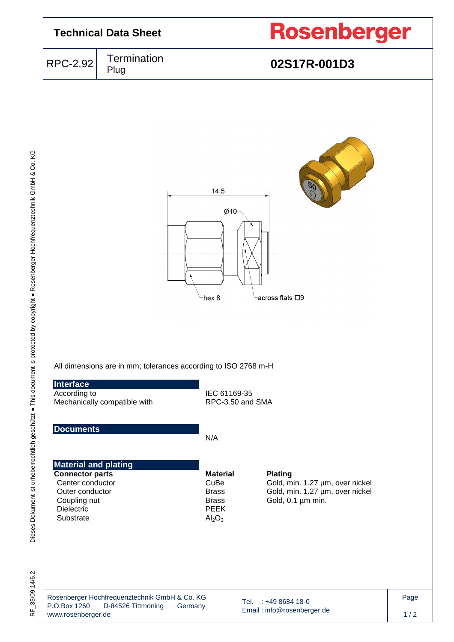

35/09.14/6.2 RF\_35/09.14/6.2 눈